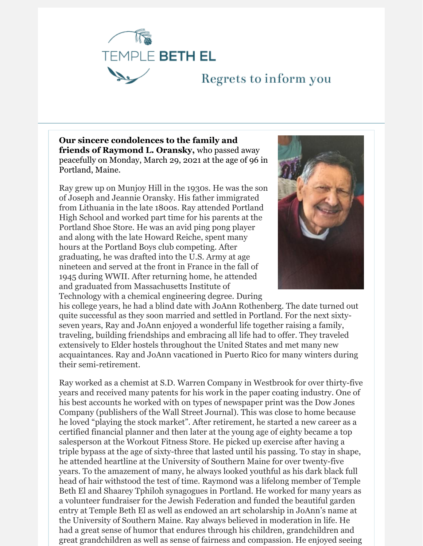

## Regrets to inform you

**Our sincere condolences to the family and friends of Raymond L. Oransky,** who passed away peacefully on Monday, March 29, 2021 at the age of 96 in Portland, Maine.

Ray grew up on Munjoy Hill in the 1930s. He was the son of Joseph and Jeannie Oransky. His father immigrated from Lithuania in the late 1800s. Ray attended Portland High School and worked part time for his parents at the Portland Shoe Store. He was an avid ping pong player and along with the late Howard Reiche, spent many hours at the Portland Boys club competing. After graduating, he was drafted into the U.S. Army at age nineteen and served at the front in France in the fall of 1945 during WWII. After returning home, he attended and graduated from Massachusetts Institute of Technology with a chemical engineering degree. During



his college years, he had a blind date with JoAnn Rothenberg. The date turned out quite successful as they soon married and settled in Portland. For the next sixtyseven years, Ray and JoAnn enjoyed a wonderful life together raising a family, traveling, building friendships and embracing all life had to offer. They traveled extensively to Elder hostels throughout the United States and met many new acquaintances. Ray and JoAnn vacationed in Puerto Rico for many winters during their semi-retirement.

Ray worked as a chemist at S.D. Warren Company in Westbrook for over thirty-five years and received many patents for his work in the paper coating industry. One of his best accounts he worked with on types of newspaper print was the Dow Jones Company (publishers of the Wall Street Journal). This was close to home because he loved "playing the stock market". After retirement, he started a new career as a certified financial planner and then later at the young age of eighty became a top salesperson at the Workout Fitness Store. He picked up exercise after having a triple bypass at the age of sixty-three that lasted until his passing. To stay in shape, he attended heartline at the University of Southern Maine for over twenty-five years. To the amazement of many, he always looked youthful as his dark black full head of hair withstood the test of time. Raymond was a lifelong member of Temple Beth El and Shaarey Tphiloh synagogues in Portland. He worked for many years as a volunteer fundraiser for the Jewish Federation and funded the beautiful garden entry at Temple Beth El as well as endowed an art scholarship in JoAnn's name at the University of Southern Maine. Ray always believed in moderation in life. He had a great sense of humor that endures through his children, grandchildren and great grandchildren as well as sense of fairness and compassion. He enjoyed seeing